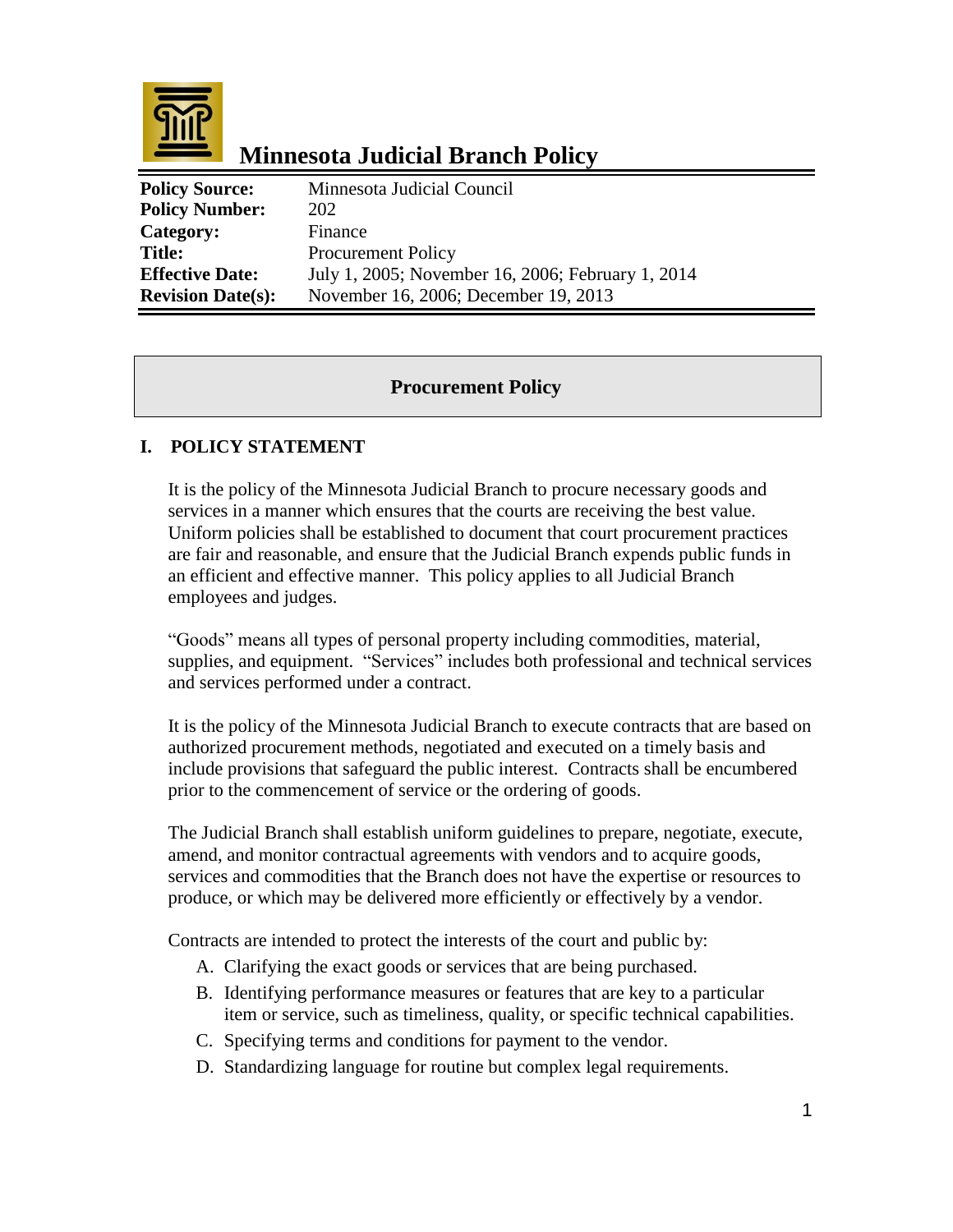

# **Minnesota Judicial Branch Policy**

| <b>Policy Source:</b>    | Minnesota Judicial Council                        |
|--------------------------|---------------------------------------------------|
| <b>Policy Number:</b>    | 202                                               |
| Category:                | Finance                                           |
| <b>Title:</b>            | <b>Procurement Policy</b>                         |
| <b>Effective Date:</b>   | July 1, 2005; November 16, 2006; February 1, 2014 |
| <b>Revision Date(s):</b> | November 16, 2006; December 19, 2013              |

## **Procurement Policy**

### **I. POLICY STATEMENT**

It is the policy of the Minnesota Judicial Branch to procure necessary goods and services in a manner which ensures that the courts are receiving the best value. Uniform policies shall be established to document that court procurement practices are fair and reasonable, and ensure that the Judicial Branch expends public funds in an efficient and effective manner. This policy applies to all Judicial Branch employees and judges.

"Goods" means all types of personal property including commodities, material, supplies, and equipment. "Services" includes both professional and technical services and services performed under a contract.

It is the policy of the Minnesota Judicial Branch to execute contracts that are based on authorized procurement methods*,* negotiated and executed on a timely basis and include provisions that safeguard the public interest. Contracts shall be encumbered prior to the commencement of service or the ordering of goods.

The Judicial Branch shall establish uniform guidelines to prepare, negotiate, execute, amend, and monitor contractual agreements with vendors and to acquire goods, services and commodities that the Branch does not have the expertise or resources to produce, or which may be delivered more efficiently or effectively by a vendor.

Contracts are intended to protect the interests of the court and public by:

- A. Clarifying the exact goods or services that are being purchased.
- B. Identifying performance measures or features that are key to a particular item or service, such as timeliness, quality, or specific technical capabilities.
- C. Specifying terms and conditions for payment to the vendor.
- D. Standardizing language for routine but complex legal requirements.